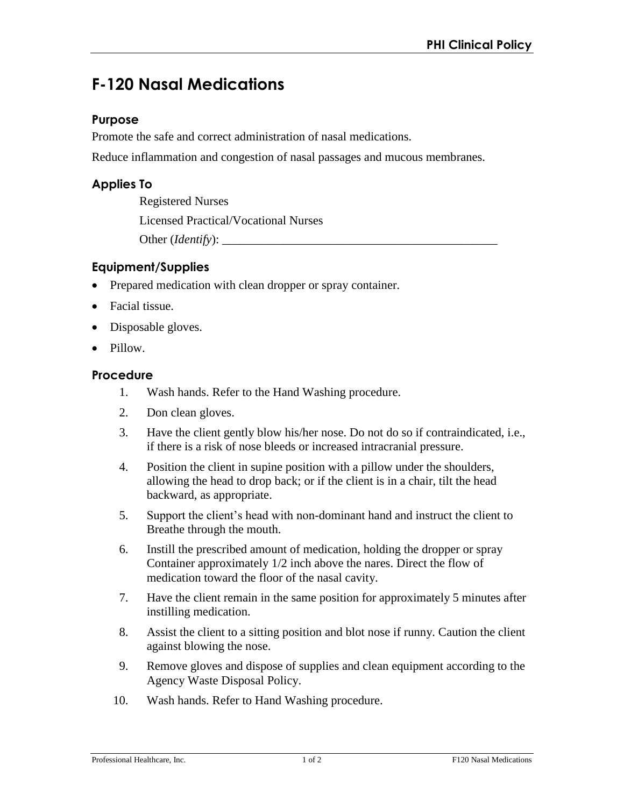# **F-120 Nasal Medications**

### **Purpose**

Promote the safe and correct administration of nasal medications.

Reduce inflammation and congestion of nasal passages and mucous membranes.

# **Applies To**

Registered Nurses Licensed Practical/Vocational Nurses Other (*Identify*): \_\_\_\_\_\_\_\_\_\_\_\_\_\_\_\_\_\_\_\_\_\_\_\_\_\_\_\_\_\_\_\_\_\_\_\_\_\_\_\_\_\_\_\_\_

## **Equipment/Supplies**

- Prepared medication with clean dropper or spray container.
- Facial tissue.
- Disposable gloves.
- Pillow.

#### **Procedure**

- 1. Wash hands. Refer to the Hand Washing procedure.
- 2. Don clean gloves.
- 3. Have the client gently blow his/her nose. Do not do so if contraindicated, i.e., if there is a risk of nose bleeds or increased intracranial pressure.
- 4. Position the client in supine position with a pillow under the shoulders, allowing the head to drop back; or if the client is in a chair, tilt the head backward, as appropriate.
- 5. Support the client's head with non-dominant hand and instruct the client to Breathe through the mouth.
- 6. Instill the prescribed amount of medication, holding the dropper or spray Container approximately 1/2 inch above the nares. Direct the flow of medication toward the floor of the nasal cavity.
- 7. Have the client remain in the same position for approximately 5 minutes after instilling medication.
- 8. Assist the client to a sitting position and blot nose if runny. Caution the client against blowing the nose.
- 9. Remove gloves and dispose of supplies and clean equipment according to the Agency Waste Disposal Policy.
- 10. Wash hands. Refer to Hand Washing procedure.